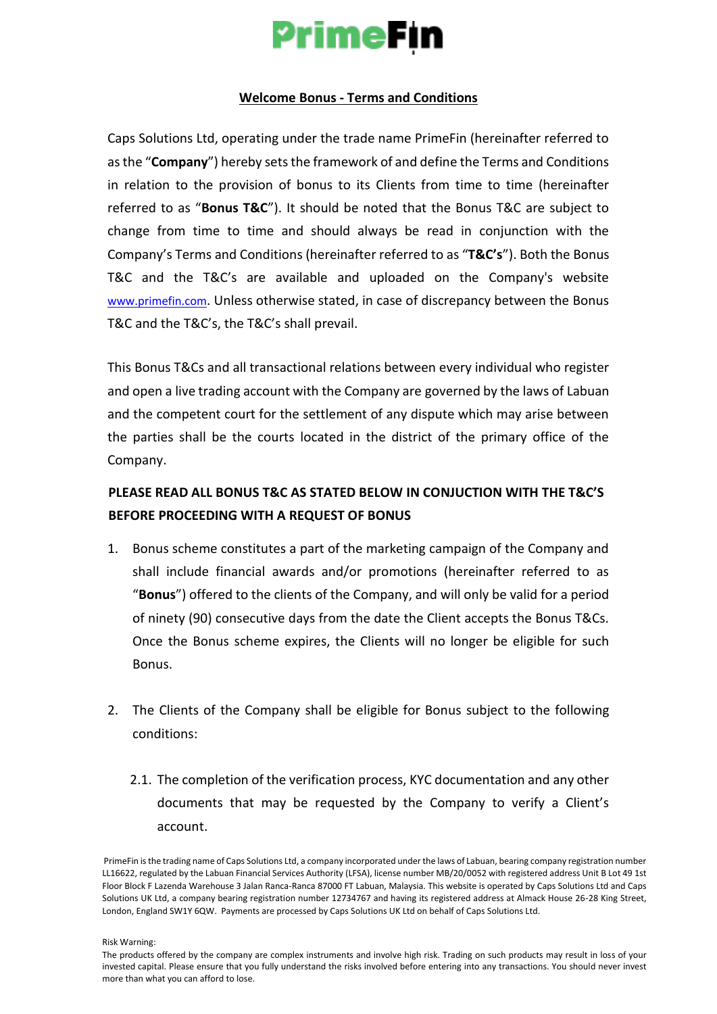# **PrimeFin**

#### **Welcome Bonus - Terms and Conditions**

Caps Solutions Ltd, operating under the trade name PrimeFin (hereinafter referred to as the "**Company**") hereby sets the framework of and define the Terms and Conditions in relation to the provision of bonus to its Clients from time to time (hereinafter referred to as "**Bonus T&C**"). It should be noted that the Bonus T&C are subject to change from time to time and should always be read in conjunction with the Company's Terms and Conditions (hereinafter referred to as "**T&C's**"). Both the Bonus T&C and the T&C's are available and uploaded on the Company's website [www.primefin.co](http://www.primefin.com/)[m](https://content-za.markets.com/pdf/en/terms-and-conditions-for-incentives-and-loyalty-awards.pdf)[. Un](https://content-za.markets.com/pdf/en/terms-and-conditions-for-incentives-and-loyalty-awards.pdf)less otherwise stated, in case of discrepancy between the Bonus T&C and the T&C's, the T&C's shall prevail.

This Bonus T&Cs and all transactional relations between every individual who register and open a live trading account with the Company are governed by the laws of Labuan and the competent court for the settlement of any dispute which may arise between the parties shall be the courts located in the district of the primary office of the Company.

#### **PLEASE READ ALL BONUS T&C AS STATED BELOW IN CONJUCTION WITH THE T&C'S BEFORE PROCEEDING WITH A REQUEST OF BONUS**

- 1. Bonus scheme constitutes a part of the marketing campaign of the Company and shall include financial awards and/or promotions (hereinafter referred to as "**Bonus**") offered to the clients of the Company, and will only be valid for a period of ninety (90) consecutive days from the date the Client accepts the Bonus T&Cs. Once the Bonus scheme expires, the Clients will no longer be eligible for such Bonus.
- 2. The Clients of the Company shall be eligible for Bonus subject to the following conditions:
	- 2.1. The completion of the verification process, KYC documentation and any other documents that may be requested by the Company to verify a Client's account.

Risk Warning:

PrimeFin is the trading name of Caps Solutions Ltd, a company incorporated under the laws of Labuan, bearing company registration number LL16622, regulated by the Labuan Financial Services Authority (LFSA), license number MB/20/0052 with registered address Unit B Lot 49 1st Floor Block F Lazenda Warehouse 3 Jalan Ranca-Ranca 87000 FT Labuan, Malaysia. This website is operated by Caps Solutions Ltd and Caps Solutions UK Ltd, a company bearing registration number 12734767 and having its registered address at Almack House 26-28 King Street, London, England SW1Y 6QW. Payments are processed by Caps Solutions UK Ltd on behalf of Caps Solutions Ltd.

The products offered by the company are complex instruments and involve high risk. Trading on such products may result in loss of your invested capital. Please ensure that you fully understand the risks involved before entering into any transactions. You should never invest more than what you can afford to lose.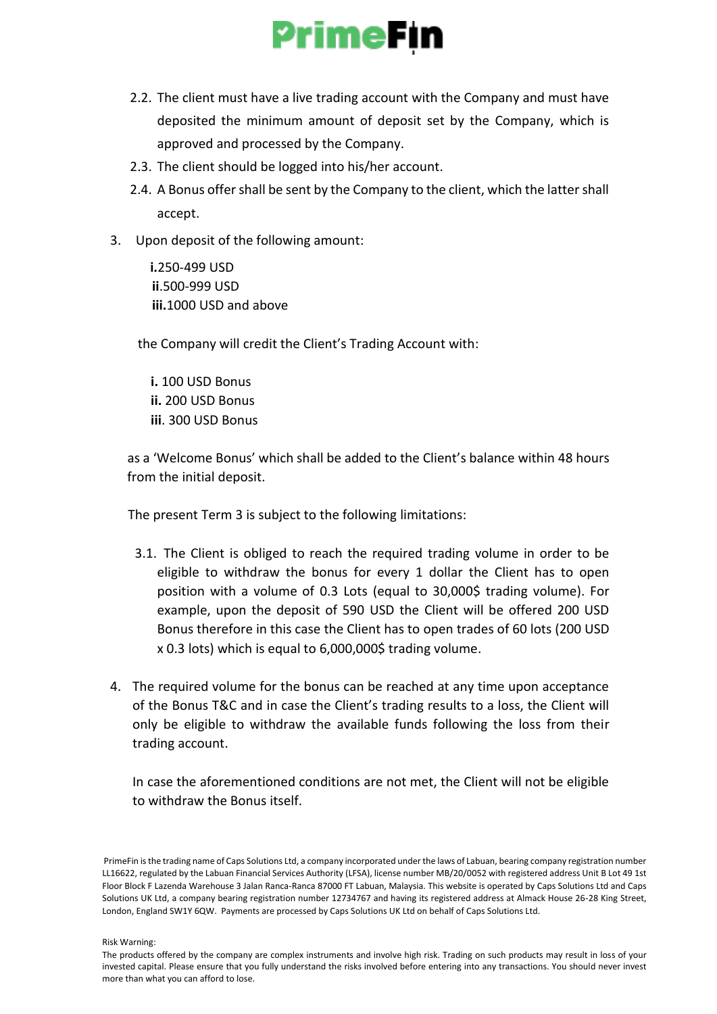

- 2.2. The client must have a live trading account with the Company and must have deposited the minimum amount of deposit set by the Company, which is approved and processed by the Company.
- 2.3. The client should be logged into his/her account.
- 2.4. A Bonus offer shall be sent by the Company to the client, which the latter shall accept.
- 3. Upon deposit of the following amount:

 **i.**250-499 USD **ii**.500-999 USD **iii.**1000 USD and above

the Company will credit the Client's Trading Account with:

 **i.** 100 USD Bonus  **ii.** 200 USD Bonus **iii**. 300 USD Bonus

 as a 'Welcome Bonus' which shall be added to the Client's balance within 48 hours from the initial deposit.

The present Term 3 is subject to the following limitations:

- 3.1. The Client is obliged to reach the required trading volume in order to be eligible to withdraw the bonus for every 1 dollar the Client has to open position with a volume of 0.3 Lots (equal to 30,000\$ trading volume). For example, upon the deposit of 590 USD the Client will be offered 200 USD Bonus therefore in this case the Client has to open trades of 60 lots (200 USD x 0.3 lots) which is equal to 6,000,000\$ trading volume.
- 4. The required volume for the bonus can be reached at any time upon acceptance of the Bonus T&C and in case the Client's trading results to a loss, the Client will only be eligible to withdraw the available funds following the loss from their trading account.

In case the aforementioned conditions are not met, the Client will not be eligible to withdraw the Bonus itself.

PrimeFin is the trading name of Caps Solutions Ltd, a company incorporated under the laws of Labuan, bearing company registration number LL16622, regulated by the Labuan Financial Services Authority (LFSA), license number MB/20/0052 with registered address Unit B Lot 49 1st Floor Block F Lazenda Warehouse 3 Jalan Ranca-Ranca 87000 FT Labuan, Malaysia. This website is operated by Caps Solutions Ltd and Caps Solutions UK Ltd, a company bearing registration number 12734767 and having its registered address at Almack House 26-28 King Street, London, England SW1Y 6QW. Payments are processed by Caps Solutions UK Ltd on behalf of Caps Solutions Ltd.

Risk Warning:

The products offered by the company are complex instruments and involve high risk. Trading on such products may result in loss of your invested capital. Please ensure that you fully understand the risks involved before entering into any transactions. You should never invest more than what you can afford to lose.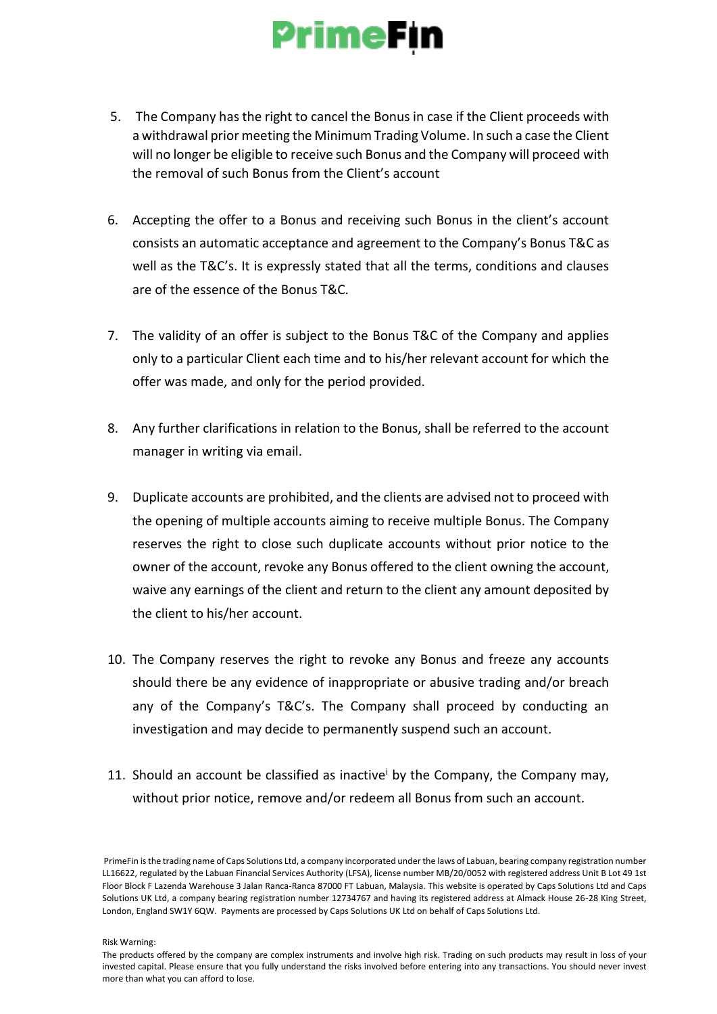## **PrimeFin**

- 5. The Company has the right to cancel the Bonus in case if the Client proceeds with a withdrawal prior meeting the Minimum Trading Volume. In such a case the Client will no longer be eligible to receive such Bonus and the Company will proceed with the removal of such Bonus from the Client's account
- 6. Accepting the offer to a Bonus and receiving such Bonus in the client's account consists an automatic acceptance and agreement to the Company's Bonus T&C as well as the T&C's. It is expressly stated that all the terms, conditions and clauses are of the essence of the Bonus T&C.
- 7. The validity of an offer is subject to the Bonus T&C of the Company and applies only to a particular Client each time and to his/her relevant account for which the offer was made, and only for the period provided.
- 8. Any further clarifications in relation to the Bonus, shall be referred to the account manager in writing via email.
- 9. Duplicate accounts are prohibited, and the clients are advised not to proceed with the opening of multiple accounts aiming to receive multiple Bonus. The Company reserves the right to close such duplicate accounts without prior notice to the owner of the account, revoke any Bonus offered to the client owning the account, waive any earnings of the client and return to the client any amount deposited by the client to his/her account.
- 10. The Company reserves the right to revoke any Bonus and freeze any accounts should there be any evidence of inappropriate or abusive trading and/or breach any of the Company's T&C's. The Company shall proceed by conducting an investigation and may decide to permanently suspend such an account.
- 11. Should an account be classified as inactive by the Company, the Company may, without prior notice, remove and/or redeem all Bonus from such an account.

Risk Warning:

PrimeFin is the trading name of Caps Solutions Ltd, a company incorporated under the laws of Labuan, bearing company registration number LL16622, regulated by the Labuan Financial Services Authority (LFSA), license number MB/20/0052 with registered address Unit B Lot 49 1st Floor Block F Lazenda Warehouse 3 Jalan Ranca-Ranca 87000 FT Labuan, Malaysia. This website is operated by Caps Solutions Ltd and Caps Solutions UK Ltd, a company bearing registration number 12734767 and having its registered address at Almack House 26-28 King Street, London, England SW1Y 6QW. Payments are processed by Caps Solutions UK Ltd on behalf of Caps Solutions Ltd.

The products offered by the company are complex instruments and involve high risk. Trading on such products may result in loss of your invested capital. Please ensure that you fully understand the risks involved before entering into any transactions. You should never invest more than what you can afford to lose.